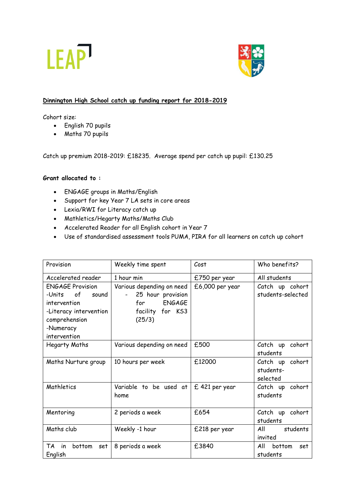



## **Dinnington High School catch up funding report for 2018-2019**

Cohort size:

- English 70 pupils
- Maths 70 pupils

Catch up premium 2018-2019: £18235. Average spend per catch up pupil: £130.25

# **Grant allocated to :**

- ENGAGE groups in Maths/English
- Support for key Year 7 LA sets in core areas
- Lexia/RWI for Literacy catch up
- Mathletics/Hegarty Maths/Maths Club
- Accelerated Reader for all English cohort in Year 7
- Use of standardised assessment tools PUMA, PIRA for all learners on catch up cohort

| Provision                                                                                                                                | Weekly time spent                                                                                    | Cost            | Who benefits?                            |
|------------------------------------------------------------------------------------------------------------------------------------------|------------------------------------------------------------------------------------------------------|-----------------|------------------------------------------|
| Accelerated reader                                                                                                                       | 1 hour min                                                                                           | £750 per year   | All students                             |
| <b>ENGAGE Provision</b><br>of<br>-Units<br>sound<br>intervention<br>-Literacy intervention<br>comprehension<br>-Numeracy<br>intervention | Various depending on need<br>25 hour provision<br><b>ENGAGE</b><br>for<br>facility for KS3<br>(25/3) | £6,000 per year | Catch up cohort<br>students-selected     |
| Hegarty Maths                                                                                                                            | Various depending on need                                                                            | £500            | Catch up<br>cohort<br>students           |
| Maths Nurture group                                                                                                                      | 10 hours per week                                                                                    | £12000          | Catch up cohort<br>students-<br>selected |
| Mathletics                                                                                                                               | Variable to be used at<br>home                                                                       | £ 421 per year  | Catch up cohort<br>students              |
| Mentoring                                                                                                                                | 2 periods a week                                                                                     | £654            | Catch up cohort<br>students              |
| Maths club                                                                                                                               | Weekly -1 hour                                                                                       | £218 per year   | All<br>students<br>invited               |
| TA<br>in<br>bottom<br>set<br>English                                                                                                     | 8 periods a week                                                                                     | £3840           | All<br>bottom<br>set<br>students         |